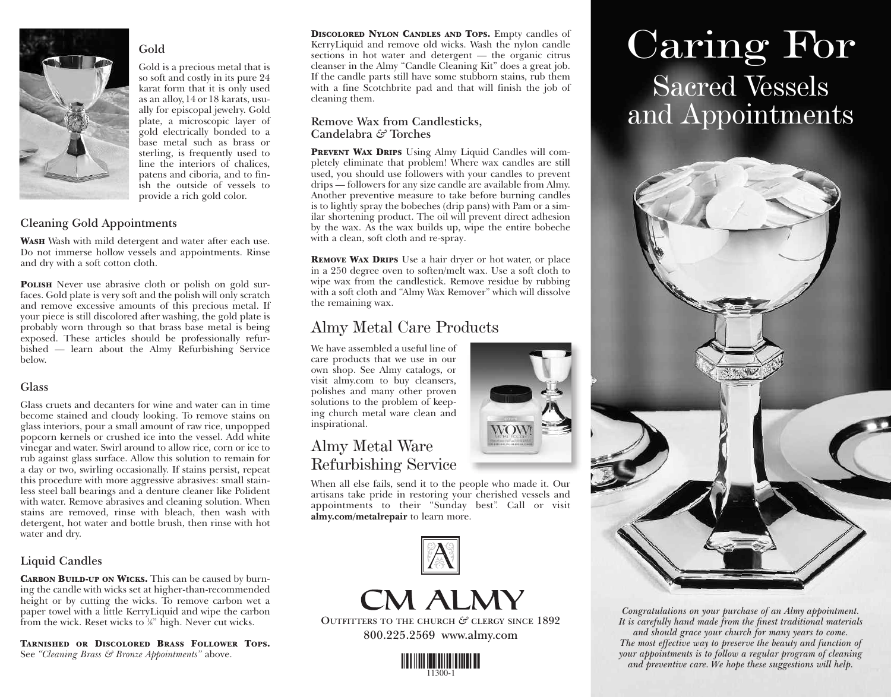

#### **Gold**

Gold is a precious metal that is so soft and costly in its pure 24 karat form that it is only used as an alloy,14 or 18 karats, usually for episcopal jewelry. Gold plate, a microscopic layer of gold electrically bonded to a base metal such as brass or sterling, is frequently used to line the interiors of chalices, patens and ciboria, and to finish the outside of vessels to provide a rich gold color.

# **Cleaning Gold Appointments**

**WASH** Wash with mild detergent and water after each use. Do not immerse hollow vessels and appointments. Rinse and dry with a soft cotton cloth.

**POLISH** Never use abrasive cloth or polish on gold surfaces. Gold plate is very soft and the polish will only scratch and remove excessive amounts of this precious metal. If your piece is still discolored after washing, the gold plate is probably worn through so that brass base metal is being exposed. These articles should be professionally refurbished — learn about the Almy Refurbishing Service below.

#### **Glass**

Glass cruets and decanters for wine and water can in time become stained and cloudy looking. To remove stains on glass interiors, pour a small amount of raw rice, unpopped popcorn kernels or crushed ice into the vessel. Add white vinegar and water. Swirl around to allow rice, corn or ice to rub against glass surface. Allow this solution to remain for a day or two, swirling occasionally. If stains persist, repeat this procedure with more aggressive abrasives: small stainless steel ball bearings and a denture cleaner like Polident with water. Remove abrasives and cleaning solution. When stains are removed, rinse with bleach, then wash with detergent, hot water and bottle brush, then rinse with hot water and dry.

# **Liquid Candles**

**CARBON BUILD-UP ON WICKS.** This can be caused by burning the candle with wicks set at higher-than-recommended height or by cutting the wicks. To remove carbon wet a paper towel with a little KerryLiquid and wipe the carbon from the wick. Reset wicks to 's" high. Never cut wicks.

**TARNISHED OR DISCOLORED BRASS FOLLOWER TOPS.** See *"Cleaning Brass & Bronze Appointments"* above.

**DISCOLORED NYLON CANDLES AND TOPS.** Empty candles of KerryLiquid and remove old wicks. Wash the nylon candle sections in hot water and detergent — the organic citrus cleanser in the Almy "Candle Cleaning Kit" does a great job. If the candle parts still have some stubborn stains, rub them with a fine Scotchbrite pad and that will finish the job of cleaning them.

### **Remove Wax from Candlesticks, Candelabra** *&* **Torches**

**PREVENT WAX DRIPS** Using Almy Liquid Candles will completely eliminate that problem! Where wax candles are still used, you should use followers with your candles to prevent drips — followers for any size candle are available from Almy. Another preventive measure to take before burning candles is to lightly spray the bobeches (drip pans) with Pam or a similar shortening product. The oil will prevent direct adhesion by the wax. As the wax builds up, wipe the entire bobeche with a clean, soft cloth and re-spray.

**REMOVE WAX DRIPS** Use a hair dryer or hot water, or place in a 250 degree oven to soften/melt wax. Use a soft cloth to wipe wax from the candlestick. Remove residue by rubbing with a soft cloth and "Almy Wax Remover" which will dissolve the remaining wax.

# Almy Metal Care Products

We have assembled a useful line of care products that we use in our own shop. See Almy catalogs, or visit almy.com to buy cleansers, polishes and many other proven solutions to the problem of keeping church metal ware clean and inspirational.

# Almy Metal Ware Refurbishing Service

When all else fails, send it to the people who made it. Our artisans take pride in restoring your cherished vessels and appointments to their "Sunday best". Call or visit **almy.com/metalrepair** to learn more.



**CM ALMY** 

**OUTFITTERS TO THE CHURCH** *&* **CLERGY SINCE 1892 800.225.2569 www.almy.com**



# Caring For Sacred Vessels and Appointments



*Congratulations on your purchase of an Almy appointment. It is carefully hand made from the finest traditional materials and should grace your church for many years to come. The most effective way to preserve the beauty and function of your appointments is to follow a regular program of cleaning and preventive care. We hope these suggestions will help.*